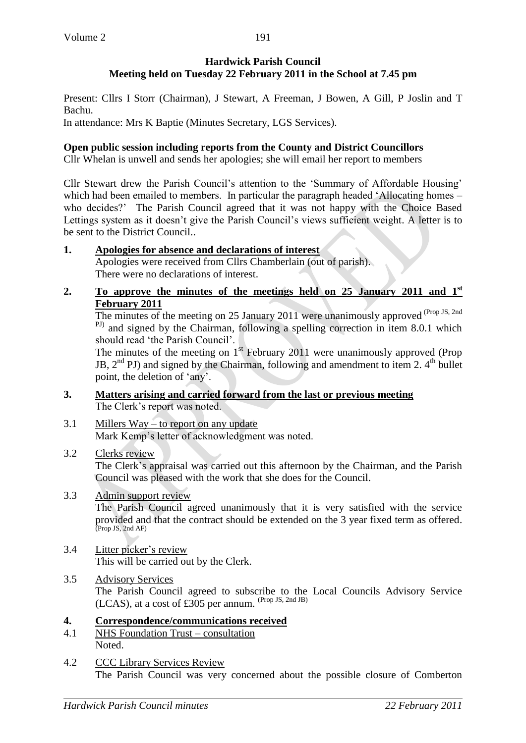### **Hardwick Parish Council Meeting held on Tuesday 22 February 2011 in the School at 7.45 pm**

Present: Cllrs I Storr (Chairman), J Stewart, A Freeman, J Bowen, A Gill, P Joslin and T Bachu.

In attendance: Mrs K Baptie (Minutes Secretary, LGS Services).

## **Open public session including reports from the County and District Councillors**

Cllr Whelan is unwell and sends her apologies; she will email her report to members

Cllr Stewart drew the Parish Council's attention to the 'Summary of Affordable Housing' which had been emailed to members. In particular the paragraph headed 'Allocating homes – who decides?' The Parish Council agreed that it was not happy with the Choice Based Lettings system as it doesn't give the Parish Council's views sufficient weight. A letter is to be sent to the District Council..

## **1. Apologies for absence and declarations of interest**

Apologies were received from Cllrs Chamberlain (out of parish). There were no declarations of interest.

**2. To approve the minutes of the meetings held on 25 January 2011 and 1st February 2011**

The minutes of the meeting on 25 January 2011 were unanimously approved  $(Prop JS, 2nd)$ <sup>PJ)</sup> and signed by the Chairman, following a spelling correction in item 8.0.1 which should read 'the Parish Council'.

The minutes of the meeting on  $1<sup>st</sup>$  February 2011 were unanimously approved (Prop JB,  $2<sup>nd</sup>$  PJ) and signed by the Chairman, following and amendment to item 2.  $4<sup>th</sup>$  bullet point, the deletion of 'any'.

- **3. Matters arising and carried forward from the last or previous meeting** The Clerk's report was noted.
- 3.1 Millers Way to report on any update Mark Kemp's letter of acknowledgment was noted.

# 3.2 Clerks review

The Clerk's appraisal was carried out this afternoon by the Chairman, and the Parish Council was pleased with the work that she does for the Council.

# 3.3 Admin support review

The Parish Council agreed unanimously that it is very satisfied with the service provided and that the contract should be extended on the 3 year fixed term as offered.<br>(Prop JS, 2nd AF)

#### 3.4 Litter picker's review This will be carried out by the Clerk.

3.5 Advisory Services The Parish Council agreed to subscribe to the Local Councils Advisory Service (LCAS), at a cost of £305 per annum.  $(\text{Prop JS}, \text{2nd JB})$ 

# **4. Correspondence/communications received**

- 4.1 NHS Foundation Trust consultation Noted.
- 4.2 CCC Library Services Review The Parish Council was very concerned about the possible closure of Comberton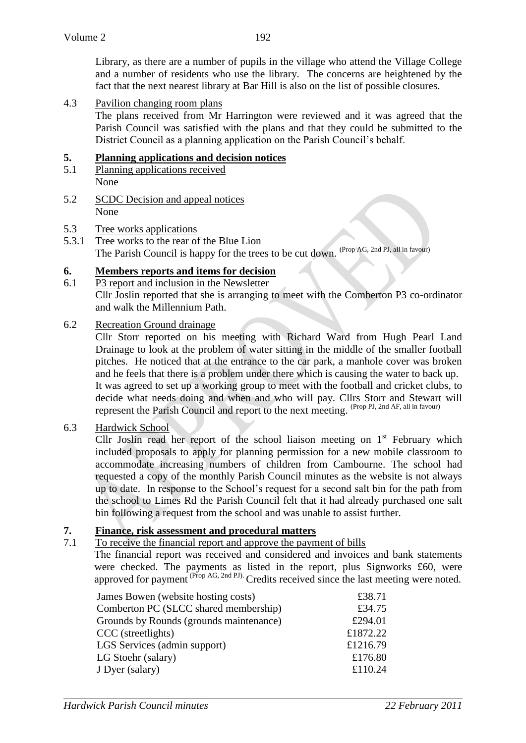Library, as there are a number of pupils in the village who attend the Village College and a number of residents who use the library. The concerns are heightened by the fact that the next nearest library at Bar Hill is also on the list of possible closures.

4.3 Pavilion changing room plans

The plans received from Mr Harrington were reviewed and it was agreed that the Parish Council was satisfied with the plans and that they could be submitted to the District Council as a planning application on the Parish Council's behalf.

### **5. Planning applications and decision notices**

- 5.1 Planning applications received None
- 5.2 SCDC Decision and appeal notices None
- 5.3 Tree works applications
- 5.3.1 Tree works to the rear of the Blue Lion The Parish Council is happy for the trees to be cut down. (Prop AG, 2nd PJ, all in favour)

## **6. Members reports and items for decision**

- 6.1 P3 report and inclusion in the Newsletter Cllr Joslin reported that she is arranging to meet with the Comberton P3 co-ordinator and walk the Millennium Path.
- 6.2 Recreation Ground drainage

Cllr Storr reported on his meeting with Richard Ward from Hugh Pearl Land Drainage to look at the problem of water sitting in the middle of the smaller football pitches. He noticed that at the entrance to the car park, a manhole cover was broken and he feels that there is a problem under there which is causing the water to back up. It was agreed to set up a working group to meet with the football and cricket clubs, to decide what needs doing and when and who will pay. Cllrs Storr and Stewart will represent the Parish Council and report to the next meeting. (Prop PJ, 2nd AF, all in favour)

6.3 Hardwick School

Cllr Joslin read her report of the school liaison meeting on  $1<sup>st</sup>$  February which included proposals to apply for planning permission for a new mobile classroom to accommodate increasing numbers of children from Cambourne. The school had requested a copy of the monthly Parish Council minutes as the website is not always up to date. In response to the School's request for a second salt bin for the path from the school to Limes Rd the Parish Council felt that it had already purchased one salt bin following a request from the school and was unable to assist further.

#### **7. Finance, risk assessment and procedural matters**

7.1 To receive the financial report and approve the payment of bills

The financial report was received and considered and invoices and bank statements were checked. The payments as listed in the report, plus Signworks £60, were approved for payment  $^{(Prop\ AG, 2nd\ PJ)}$ . Credits received since the last meeting were noted.

| James Bowen (website hosting costs)     | £38.71   |
|-----------------------------------------|----------|
| Comberton PC (SLCC shared membership)   | £34.75   |
| Grounds by Rounds (grounds maintenance) | £294.01  |
| CCC (streetlights)                      | £1872.22 |
| LGS Services (admin support)            | £1216.79 |
| LG Stoehr (salary)                      | £176.80  |
| J Dyer (salary)                         | £110.24  |
|                                         |          |